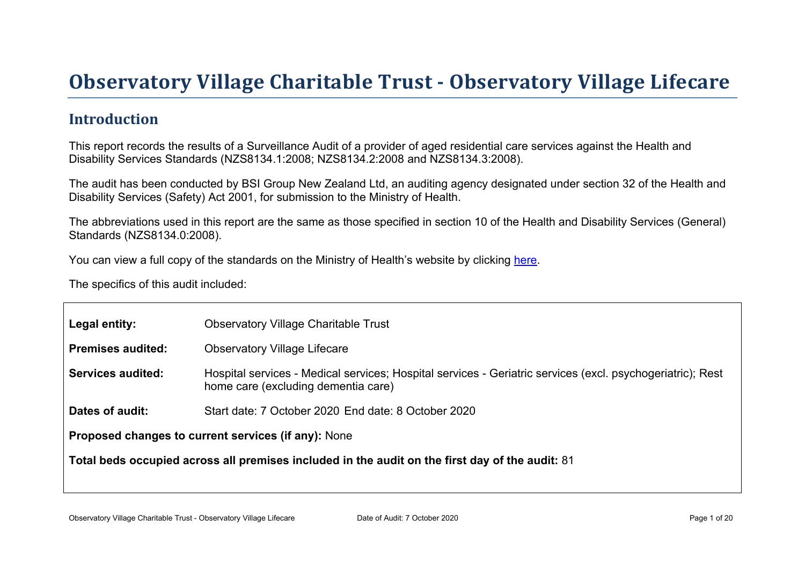# Obser vator y Village Charitable Tr ust - Obser vator y Village Lifecar e

#### Introduction

This report records the results of a Surveillance Audit of a provider of aged residential care services against the Health and Disability Services Standards (NZS8134.1:2008; NZS8134.2:2008 and NZS8134.3:2008).

The audit has been conducted by BSI Group New Zealand Ltd, an auditing agency designated under section 32 of the Health and Disability Services (Safety) Act 2001, for submission to the Ministry of Health.

The abbreviations used in this report are the same as those specified in section 10 of the Health and Disability Services (General) Standards (NZS8134.0:2008).

You can view a full copy of the standards on the Ministry of Health's website by clicking [here.](http://www.health.govt.nz/our-work/regulation-health-and-disability-system/certification-health-care-services/health-and-disability-services-standards)

The specifics of this audit included:

| Legal entity:                                                                                      | <b>Observatory Village Charitable Trust</b>                                                                                                       |  |  |
|----------------------------------------------------------------------------------------------------|---------------------------------------------------------------------------------------------------------------------------------------------------|--|--|
| Premises audited:                                                                                  | <b>Observatory Village Lifecare</b>                                                                                                               |  |  |
| Services audited:                                                                                  | Hospital services - Medical services; Hospital services - Geriatric services (excl. psychogeriatric); Rest<br>home care (excluding dementia care) |  |  |
| Dates of audit:                                                                                    | Start date: 7 October 2020 End date: 8 October 2020                                                                                               |  |  |
| Proposed changes to current<br>services (if any): None                                             |                                                                                                                                                   |  |  |
| Total beds occupied across all premises included<br>in the audit on the first day of the audit: 81 |                                                                                                                                                   |  |  |
|                                                                                                    |                                                                                                                                                   |  |  |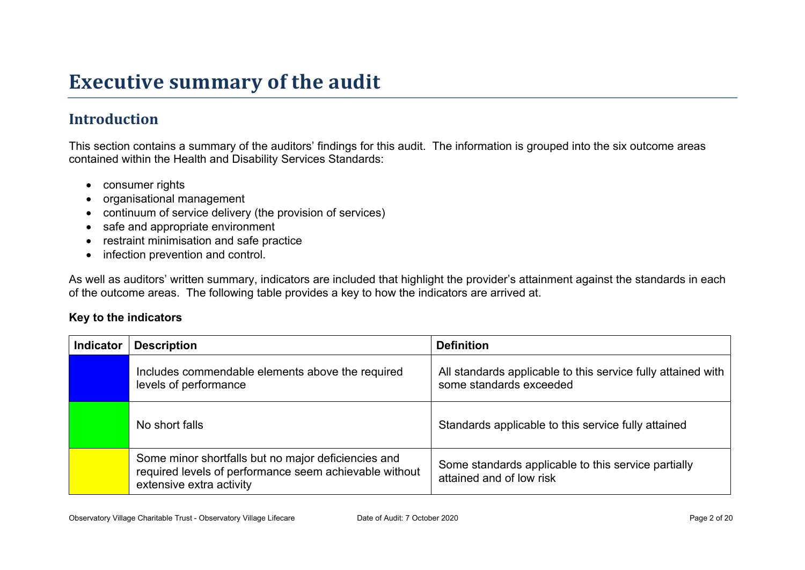# **Executive summary of the audit**

### **Introduction**

This section contains a summary of the auditors' findings for this audit. The information is grouped into the six outcome areas contained within the Health and Disability Services Standards:

- consumer rights
- organisational management
- continuum of service delivery (the provision of services)
- safe and appropriate environment
- restraint minimisation and safe practice
- infection prevention and control.

As well as auditors' written summary, indicators are included that highlight the provider's attainment against the standards in each of the outcome areas. The following table provides a key to how the indicators are arrived at.

#### **Key to the indicators**

| <b>Indicator</b> | <b>Description</b>                                                                                                                        | <b>Definition</b>                                                                       |
|------------------|-------------------------------------------------------------------------------------------------------------------------------------------|-----------------------------------------------------------------------------------------|
|                  | Includes commendable elements above the required<br>levels of performance                                                                 | All standards applicable to this service fully attained with<br>some standards exceeded |
|                  | No short falls                                                                                                                            | Standards applicable to this service fully attained                                     |
|                  | Some minor shortfalls but no major deficiencies and<br>required levels of performance seem achievable without<br>extensive extra activity | Some standards applicable to this service partially<br>attained and of low risk         |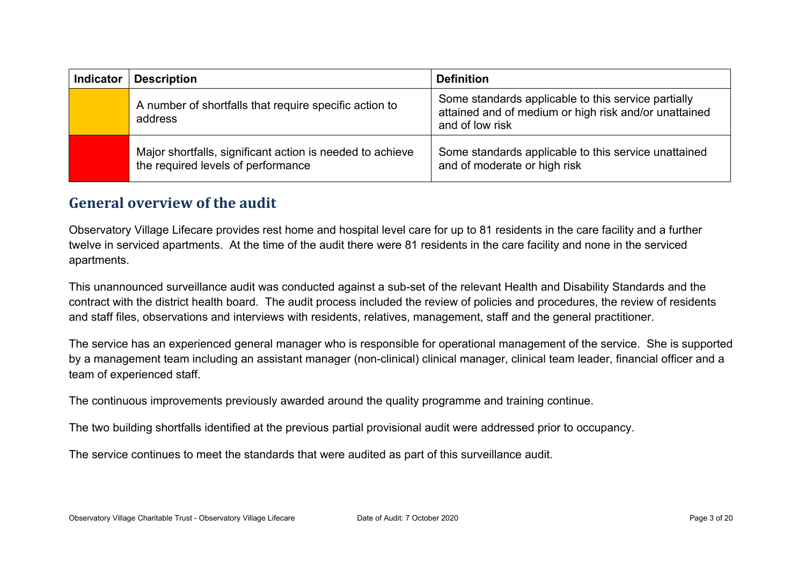| <b>Indicator</b> | <b>Description</b>                                                                              | <b>Definition</b>                                                                                                               |
|------------------|-------------------------------------------------------------------------------------------------|---------------------------------------------------------------------------------------------------------------------------------|
|                  | A number of shortfalls that require specific action to<br>address                               | Some standards applicable to this service partially<br>attained and of medium or high risk and/or unattained<br>and of low risk |
|                  | Major shortfalls, significant action is needed to achieve<br>the required levels of performance | Some standards applicable to this service unattained<br>and of moderate or high risk                                            |

#### **General overview of the audit**

Observatory Village Lifecare provides rest home and hospital level care for up to 81 residents in the care facility and a further twelve in serviced apartments. At the time of the audit there were 81 residents in the care facility and none in the serviced apartments.

This unannounced surveillance audit was conducted against a sub-set of the relevant Health and Disability Standards and the contract with the district health board. The audit process included the review of policies and procedures, the review of residents and staff files, observations and interviews with residents, relatives, management, staff and the general practitioner.

The service has an experienced general manager who is responsible for operational management of the service. She is supported by a management team including an assistant manager (non-clinical) clinical manager, clinical team leader, financial officer and a team of experienced staff.

The continuous improvements previously awarded around the quality programme and training continue.

The two building shortfalls identified at the previous partial provisional audit were addressed prior to occupancy.

The service continues to meet the standards that were audited as part of this surveillance audit.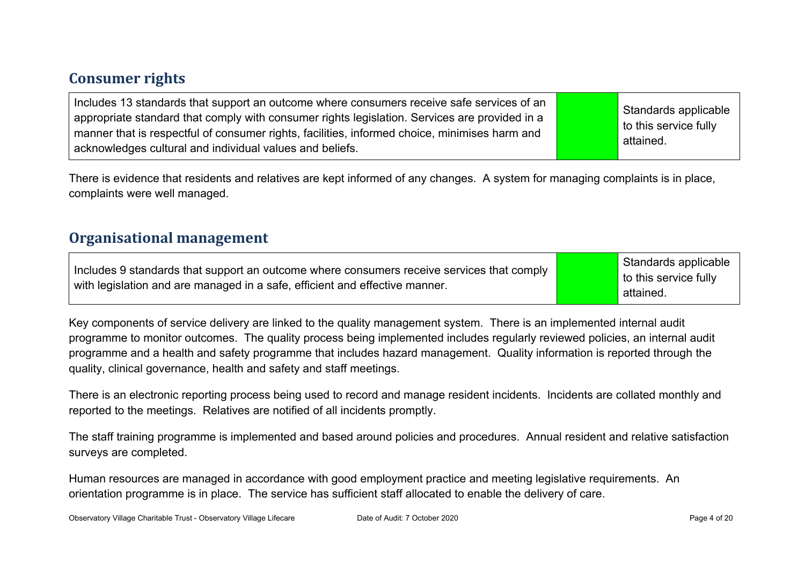#### **Consumer rights**

| Includes 13 standards that support an outcome where consumers receive safe services of an<br>appropriate standard that comply with consumer rights legislation. Services are provided in a<br>manner that is respectful of consumer rights, facilities, informed choice, minimises harm and<br>acknowledges cultural and individual values and beliefs. |  | Standards applicable<br>to this service fully<br>attained. |
|---------------------------------------------------------------------------------------------------------------------------------------------------------------------------------------------------------------------------------------------------------------------------------------------------------------------------------------------------------|--|------------------------------------------------------------|
|---------------------------------------------------------------------------------------------------------------------------------------------------------------------------------------------------------------------------------------------------------------------------------------------------------------------------------------------------------|--|------------------------------------------------------------|

There is evidence that residents and relatives are kept informed of any changes. A system for managing complaints is in place, complaints were well managed.

#### **Organisational management**

Includes 9 standards that support an outcome where consumers receive services that comply with legislation and are managed in a safe, efficient and effective manner.

Standards applicable to this service fully attained.

Key components of service delivery are linked to the quality management system. There is an implemented internal audit programme to monitor outcomes. The quality process being implemented includes regularly reviewed policies, an internal audit programme and a health and safety programme that includes hazard management. Quality information is reported through the quality, clinical governance, health and safety and staff meetings.

There is an electronic reporting process being used to record and manage resident incidents. Incidents are collated monthly and reported to the meetings. Relatives are notified of all incidents promptly.

The staff training programme is implemented and based around policies and procedures. Annual resident and relative satisfaction surveys are completed.

Human resources are managed in accordance with good employment practice and meeting legislative requirements. An orientation programme is in place. The service has sufficient staff allocated to enable the delivery of care.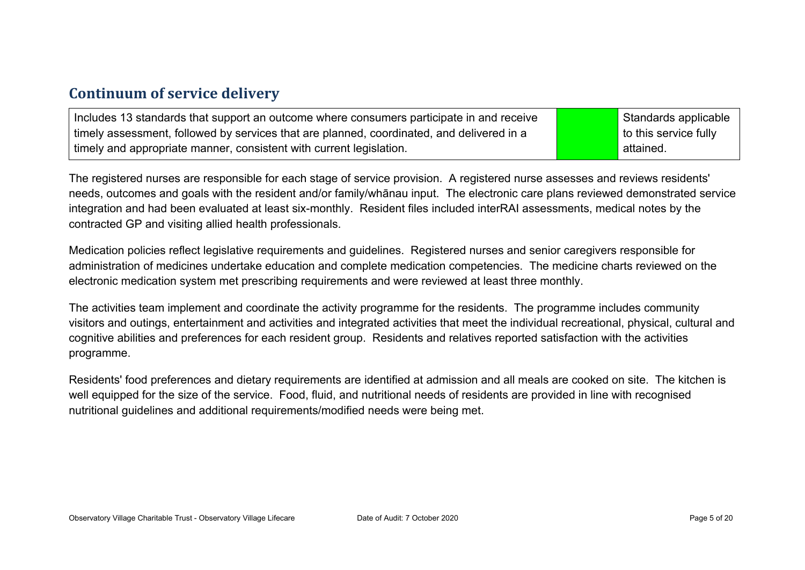#### **Continuum of service delivery**

| Includes 13 standards that support an outcome where consumers participate in and receive  | Standards applicable  |
|-------------------------------------------------------------------------------------------|-----------------------|
| timely assessment, followed by services that are planned, coordinated, and delivered in a | to this service fully |
| timely and appropriate manner, consistent with current legislation.                       | attained.             |

The registered nurses are responsible for each stage of service provision. A registered nurse assesses and reviews residents' needs, outcomes and goals with the resident and/or family/whānau input. The electronic care plans reviewed demonstrated service integration and had been evaluated at least six-monthly. Resident files included interRAI assessments, medical notes by the contracted GP and visiting allied health professionals.

Medication policies reflect legislative requirements and guidelines. Registered nurses and senior caregivers responsible for administration of medicines undertake education and complete medication competencies. The medicine charts reviewed on the electronic medication system met prescribing requirements and were reviewed at least three monthly.

The activities team implement and coordinate the activity programme for the residents. The programme includes community visitors and outings, entertainment and activities and integrated activities that meet the individual recreational, physical, cultural and cognitive abilities and preferences for each resident group. Residents and relatives reported satisfaction with the activities programme.

Residents' food preferences and dietary requirements are identified at admission and all meals are cooked on site. The kitchen is well equipped for the size of the service. Food, fluid, and nutritional needs of residents are provided in line with recognised nutritional guidelines and additional requirements/modified needs were being met.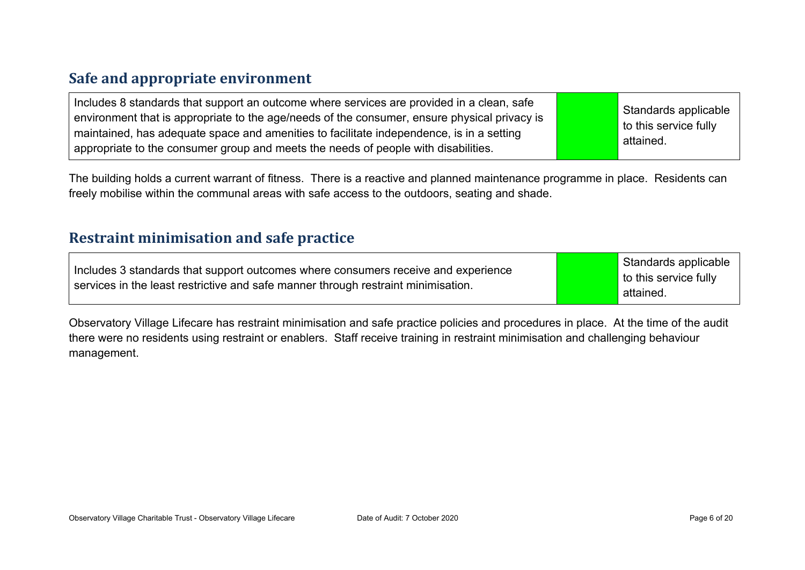#### **Safe and appropriate environment**

The building holds a current warrant of fitness. There is a reactive and planned maintenance programme in place. Residents can freely mobilise within the communal areas with safe access to the outdoors, seating and shade.

#### **Restraint minimisation and safe practice**

| services in the least restrictive and safe manner through restraint minimisation.<br>attained. | Includes 3 standards that support outcomes where consumers receive and experience | Standards applicable<br>to this service fully |
|------------------------------------------------------------------------------------------------|-----------------------------------------------------------------------------------|-----------------------------------------------|
|------------------------------------------------------------------------------------------------|-----------------------------------------------------------------------------------|-----------------------------------------------|

Observatory Village Lifecare has restraint minimisation and safe practice policies and procedures in place. At the time of the audit there were no residents using restraint or enablers. Staff receive training in restraint minimisation and challenging behaviour management.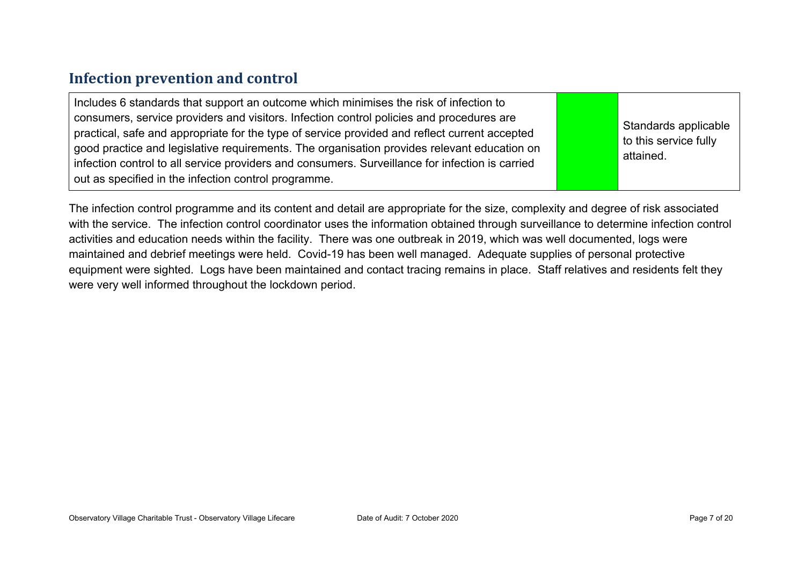#### **Infection prevention and control**

The infection control programme and its content and detail are appropriate for the size, complexity and degree of risk associated with the service. The infection control coordinator uses the information obtained through surveillance to determine infection control activities and education needs within the facility. There was one outbreak in 2019, which was well documented, logs were maintained and debrief meetings were held. Covid-19 has been well managed. Adequate supplies of personal protective equipment were sighted. Logs have been maintained and contact tracing remains in place. Staff relatives and residents felt they were very well informed throughout the lockdown period.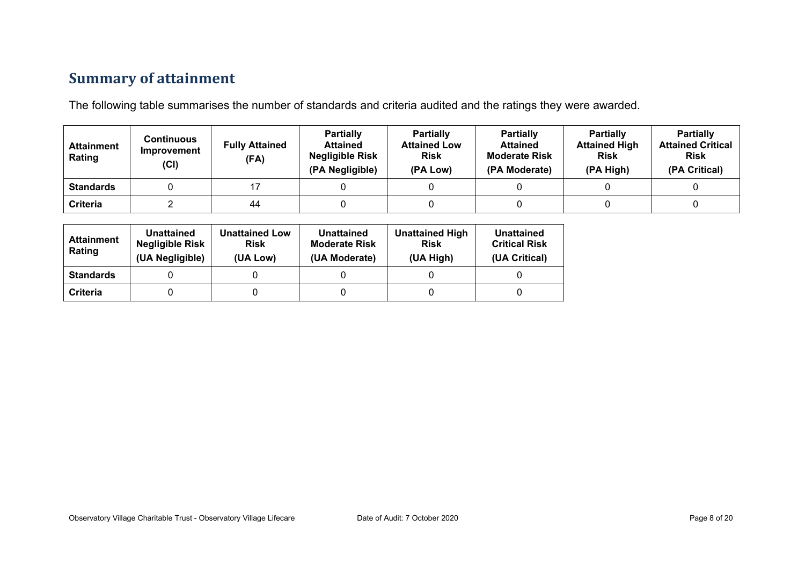### **Summary of attainment**

The following table summarises the number of standards and criteria audited and the ratings they were awarded.

| <b>Attainment</b><br>Rating | Continuous<br>Improvement<br>(Cl) | <b>Fully Attained</b><br>(FA) | <b>Partially</b><br><b>Attained</b><br><b>Negligible Risk</b><br>(PA Negligible) | <b>Partially</b><br><b>Attained Low</b><br><b>Risk</b><br>(PA Low) | <b>Partially</b><br><b>Attained</b><br><b>Moderate Risk</b><br>(PA Moderate) | <b>Partially</b><br><b>Attained High</b><br><b>Risk</b><br>(PA High) | <b>Partially</b><br><b>Attained Critical</b><br><b>Risk</b><br>(PA Critical) |
|-----------------------------|-----------------------------------|-------------------------------|----------------------------------------------------------------------------------|--------------------------------------------------------------------|------------------------------------------------------------------------------|----------------------------------------------------------------------|------------------------------------------------------------------------------|
| <b>Standards</b>            |                                   |                               |                                                                                  |                                                                    |                                                                              |                                                                      |                                                                              |
| Criteria                    |                                   | 44                            |                                                                                  |                                                                    |                                                                              |                                                                      |                                                                              |

| <b>Attainment</b><br>Rating | Unattained<br><b>Negligible Risk</b><br>(UA Negligible) | <b>Unattained Low</b><br><b>Risk</b><br>(UA Low) | Unattained<br><b>Moderate Risk</b><br>(UA Moderate) | <b>Unattained High</b><br><b>Risk</b><br>(UA High) | Unattained<br><b>Critical Risk</b><br>(UA Critical) |
|-----------------------------|---------------------------------------------------------|--------------------------------------------------|-----------------------------------------------------|----------------------------------------------------|-----------------------------------------------------|
| <b>Standards</b>            |                                                         |                                                  |                                                     |                                                    |                                                     |
| Criteria                    |                                                         |                                                  |                                                     |                                                    |                                                     |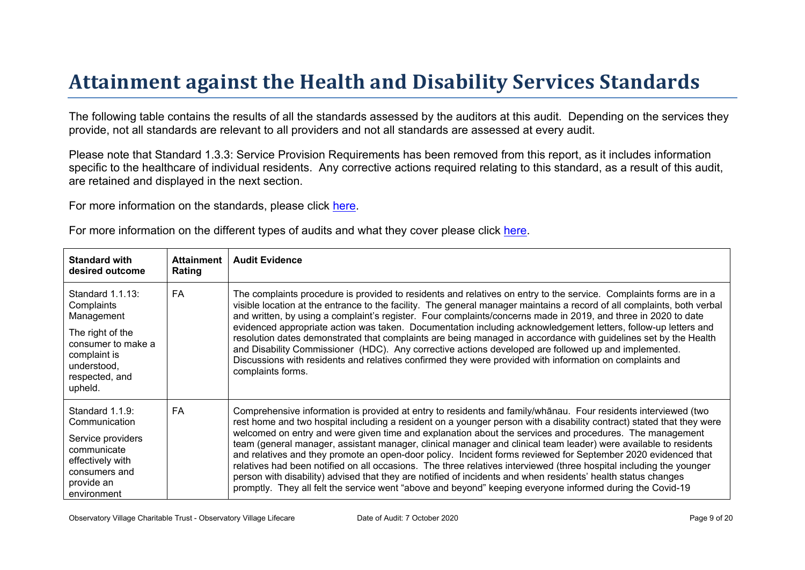# Attainment against the Health and Disability Ser vices Standar ds

The following table contains the results of all the standards assessed by the auditors at this audit. Depending on the services they provide, not all standards are relevant to all providers and not all standards are assessed at every audit.

Please note that Standard 1.3.3: Service Provision Requirements has been removed from this report, as it includes information specific to the healthcare of individual residents. Any corrective actions required relating to this standard, as a result of this audit, are retained and displayed in the next section.

For more information on the standards, please click [here](http://www.health.govt.nz/our-work/regulation-health-and-disability-system/certification-health-care-services/health-and-disability-services-standards).

| For more information on the different types of audits and what they cover please click here. |  |  |  |  |
|----------------------------------------------------------------------------------------------|--|--|--|--|
|----------------------------------------------------------------------------------------------|--|--|--|--|

| Standard with<br>desired outcome                                                                                                                   | Attainment<br>Rating | <b>Audit Evidence</b>                                                                                                                                                                                                                                                                                                                                                                                                                                                                                                                                                                                                                                                                                                                                                                                                                                                                                                                |
|----------------------------------------------------------------------------------------------------------------------------------------------------|----------------------|--------------------------------------------------------------------------------------------------------------------------------------------------------------------------------------------------------------------------------------------------------------------------------------------------------------------------------------------------------------------------------------------------------------------------------------------------------------------------------------------------------------------------------------------------------------------------------------------------------------------------------------------------------------------------------------------------------------------------------------------------------------------------------------------------------------------------------------------------------------------------------------------------------------------------------------|
| Standard 1.1.13:<br>Complaints<br>Management<br>The right of the<br>consumer to make a<br>complaint is<br>understood,<br>respected, and<br>upheld. | <b>FA</b>            | The complaints procedure is provided to residents and relatives on entry to the service. Complaints forms are in a<br>visible location at the entrance to the facility. The general manager maintains a record of all complaints, both verbal<br>and written, by using a complaint's register. Four complaints/concerns made in 2019, and three in 2020 to date<br>evidenced appropriate action was taken. Documentation including acknowledgement letters, follow-up letters and<br>resolution dates demonstrated that complaints are being managed in accordance with guidelines set by the Health<br>and Disability Commissioner (HDC). Any corrective actions developed are followed up and implemented.<br>Discussions with residents and relatives confirmed they were provided with information on complaints and<br>complaints forms.                                                                                        |
| Standard 1.1.9:<br>Communication<br>Service providers<br>communicate<br>effectively with<br>consumers and<br>provide an<br>environment             | FA                   | Comprehensive information is provided at entry to residents and $3 = 1$ D# +residents interviewed (two<br>rest home and two hospital including a resident on a younger person with a disability contract) stated that they were<br>welcomed on entry and were given time and explanation about the services and procedures. The management<br>team (general manager, assistant manager, clinical manager and clinical team leader) were available to residents<br>and relatives and they promote an open-door policy. Incident forms reviewed for September 2020 evidenced that<br>relatives had been notified on all occasions. The three relatives interviewed (three hospital including the younger<br>person with disability) advised that they are notified of incidents and when residents' health status changes<br>promptly. They all felt the service went "above and beyond" keeping everyone informed during the Covid-19 |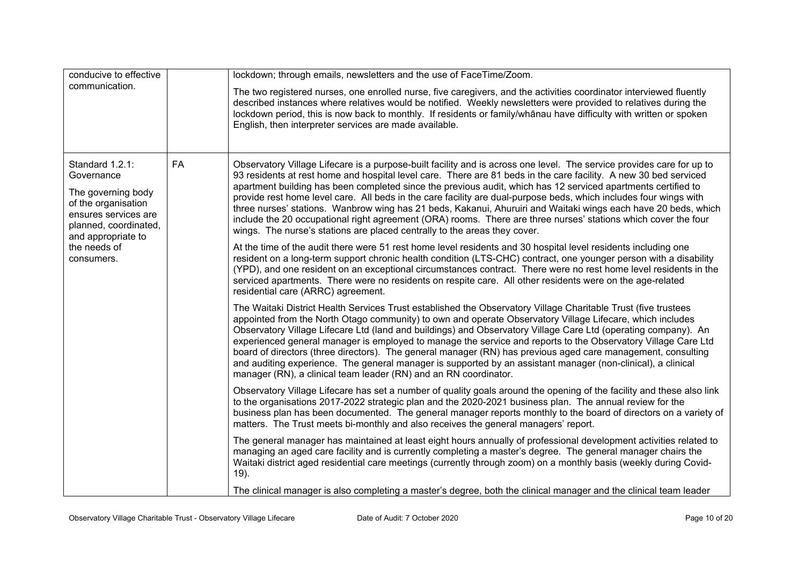| conducive to effective                                                                                                                                                                | lockdown; through emails, newsletters and the use of FaceTime/Zoom.                                                                                                                                                                                                                                                                                                                                                                                                                                                                                                                                                                                                                                                                                                                              |
|---------------------------------------------------------------------------------------------------------------------------------------------------------------------------------------|--------------------------------------------------------------------------------------------------------------------------------------------------------------------------------------------------------------------------------------------------------------------------------------------------------------------------------------------------------------------------------------------------------------------------------------------------------------------------------------------------------------------------------------------------------------------------------------------------------------------------------------------------------------------------------------------------------------------------------------------------------------------------------------------------|
| communication.                                                                                                                                                                        | The two registered nurses, one enrolled nurse, five caregivers, and the activities coordinator interviewed fluently<br>described instances where relatives would be notified. Weekly newsletters were provided to relatives during the<br>lockdown period, this is now back to monthly. If residents or family/whanau have difficulty with written or spoken<br>English, then interpreter services are made available.                                                                                                                                                                                                                                                                                                                                                                           |
| FA<br>Standard 1.2.1:<br>Governance<br>The governing body<br>of the organisation<br>ensures services are<br>planned, coordinated,<br>and appropriate to<br>the needs of<br>consumers. | Observatory Village Lifecare is a purpose-built facility and is across one level. The service provides care for up to<br>93 residents at rest home and hospital level care. There are 81 beds in the care facility. A new 30 bed serviced<br>apartment building has been completed since the previous audit, which has 12 serviced apartments certified to<br>provide rest home level care. All beds in the care facility are dual-purpose beds, which includes four wings with<br>three nurses' stations. Wanbrow wing has 21 beds, Kakanui, Ahuruiri and Waitaki wings each have 20 beds, which<br>include the 20 occupational right agreement (ORA) rooms. There are three nurses' stations which cover the four<br>wings. The nurse's stations are placed centrally to the areas they cover. |
|                                                                                                                                                                                       | At the time of the audit there were 51 rest home level residents and 30 hospital level residents including one<br>resident on a long-term support chronic health condition (LTS-CHC) contract, one younger person with a disability<br>(YPD), and one resident on an exceptional circumstances contract. There were no rest home level residents in the<br>serviced apartments. There were no residents on respite care. All other residents were on the age-related<br>residential care (ARRC) agreement.                                                                                                                                                                                                                                                                                       |
|                                                                                                                                                                                       | The Waitaki District Health Services Trust established the Observatory Village Charitable Trust (five trustees<br>appointed from the North Otago community) to own and operate Observatory Village Lifecare, which includes<br>Observatory Village Lifecare Ltd (land and buildings) and Observatory Village Care Ltd (operating company). An<br>experienced general manager is employed to manage the service and reports to the Observatory Village Care Ltd<br>board of directors (three directors). The general manager (RN) has previous aged care management, consulting<br>and auditing experience. The general manager is supported by an assistant manager (non-clinical), a clinical<br>manager (RN), a clinical team leader (RN) and an RN coordinator.                               |
|                                                                                                                                                                                       | Observatory Village Lifecare has set a number of quality goals around the opening of the facility and these also link<br>to the organisations 2017-2022 strategic plan and the 2020-2021 business plan. The annual review for the<br>business plan has been documented. The general manager reports monthly to the board of directors on a variety of<br>matters. The Trust meets bi-monthly and also receives the general managers' report.                                                                                                                                                                                                                                                                                                                                                     |
|                                                                                                                                                                                       | The general manager has maintained at least eight hours annually of professional development activities related to<br>managing an aged care facility and is currently completing a master's degree. The general manager chairs the<br>Waitaki district aged residential care meetings (currently through zoom) on a monthly basis (weekly during Covid-<br>$19$ ).                                                                                                                                                                                                                                                                                                                                                                                                                               |
|                                                                                                                                                                                       | The clinical manager is also completing a master's degree, both the clinical manager and the clinical team leader                                                                                                                                                                                                                                                                                                                                                                                                                                                                                                                                                                                                                                                                                |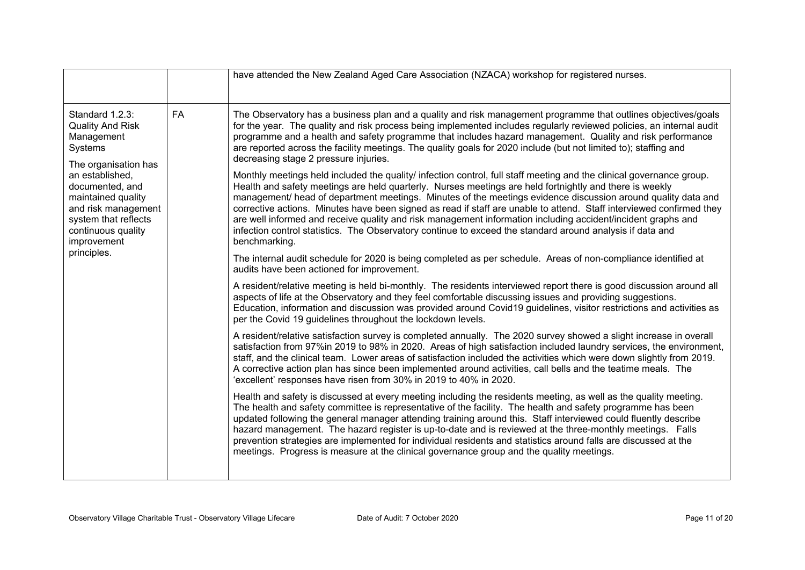|                                                                                                                                                                                                                                                                         | have attended the New Zealand Aged Care Association (NZACA) workshop for registered nurses.                                                                                                                                                                                                                                                                                                                                                                                                                                                                                                                                                                                                                           |
|-------------------------------------------------------------------------------------------------------------------------------------------------------------------------------------------------------------------------------------------------------------------------|-----------------------------------------------------------------------------------------------------------------------------------------------------------------------------------------------------------------------------------------------------------------------------------------------------------------------------------------------------------------------------------------------------------------------------------------------------------------------------------------------------------------------------------------------------------------------------------------------------------------------------------------------------------------------------------------------------------------------|
| Standard 1.2.3:<br><b>FA</b><br><b>Quality And Risk</b><br>Management<br>Systems<br>The organisation has<br>an established,<br>documented, and<br>maintained quality<br>and risk management<br>system that reflects<br>continuous quality<br>improvement<br>principles. | The Observatory has a business plan and a quality and risk management programme that outlines objectives/goals<br>for the year. The quality and risk process being implemented includes regularly reviewed policies, an internal audit<br>programme and a health and safety programme that includes hazard management. Quality and risk performance<br>are reported across the facility meetings. The quality goals for 2020 include (but not limited to); staffing and<br>decreasing stage 2 pressure injuries.                                                                                                                                                                                                      |
|                                                                                                                                                                                                                                                                         | Monthly meetings held included the quality/ infection control, full staff meeting and the clinical governance group.<br>Health and safety meetings are held quarterly. Nurses meetings are held fortnightly and there is weekly<br>management/ head of department meetings. Minutes of the meetings evidence discussion around quality data and<br>corrective actions. Minutes have been signed as read if staff are unable to attend. Staff interviewed confirmed they<br>are well informed and receive quality and risk management information including accident/incident graphs and<br>infection control statistics. The Observatory continue to exceed the standard around analysis if data and<br>benchmarking. |
|                                                                                                                                                                                                                                                                         | The internal audit schedule for 2020 is being completed as per schedule. Areas of non-compliance identified at<br>audits have been actioned for improvement.                                                                                                                                                                                                                                                                                                                                                                                                                                                                                                                                                          |
|                                                                                                                                                                                                                                                                         | A resident/relative meeting is held bi-monthly. The residents interviewed report there is good discussion around all<br>aspects of life at the Observatory and they feel comfortable discussing issues and providing suggestions.<br>Education, information and discussion was provided around Covid19 guidelines, visitor restrictions and activities as<br>per the Covid 19 guidelines throughout the lockdown levels.                                                                                                                                                                                                                                                                                              |
|                                                                                                                                                                                                                                                                         | A resident/relative satisfaction survey is completed annually. The 2020 survey showed a slight increase in overall<br>satisfaction from 97%in 2019 to 98% in 2020. Areas of high satisfaction included laundry services, the environment,<br>staff, and the clinical team. Lower areas of satisfaction included the activities which were down slightly from 2019.<br>A corrective action plan has since been implemented around activities, call bells and the teatime meals. The<br>'excellent' responses have risen from 30% in 2019 to 40% in 2020.                                                                                                                                                               |
|                                                                                                                                                                                                                                                                         | Health and safety is discussed at every meeting including the residents meeting, as well as the quality meeting.<br>The health and safety committee is representative of the facility. The health and safety programme has been<br>updated following the general manager attending training around this. Staff interviewed could fluently describe<br>hazard management. The hazard register is up-to-date and is reviewed at the three-monthly meetings. Falls<br>prevention strategies are implemented for individual residents and statistics around falls are discussed at the<br>meetings. Progress is measure at the clinical governance group and the quality meetings.                                        |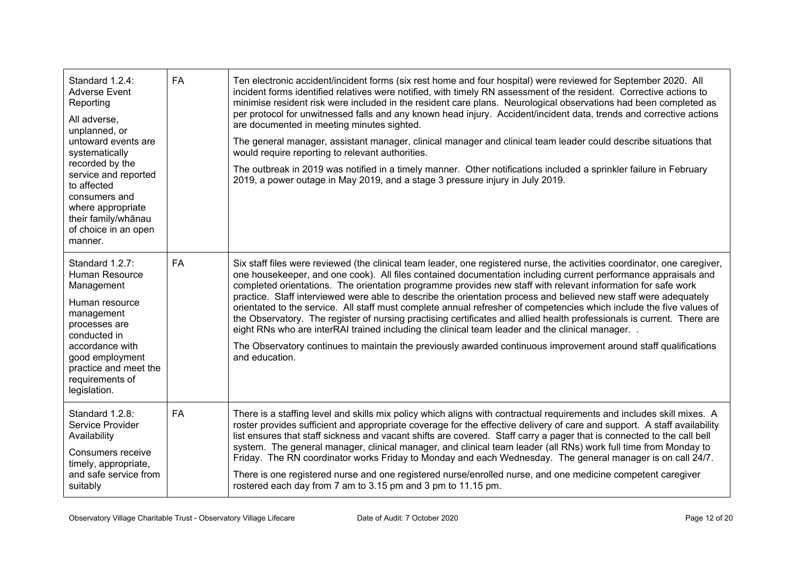| Standard 1.2.4:<br><b>Adverse Event</b><br>Reporting<br>All adverse,<br>unplanned, or<br>untoward events are<br>systematically<br>recorded by the<br>service and reported<br>to affected<br>consumers and<br>where appropriate<br>their family/whānau<br>of choice in an open<br>manner. | <b>FA</b> | Ten electronic accident/incident forms (six rest home and four hospital) were reviewed for September 2020. All<br>incident forms identified relatives were notified, with timely RN assessment of the resident. Corrective actions to<br>minimise resident risk were included in the resident care plans. Neurological observations had been completed as<br>per protocol for unwitnessed falls and any known head injury. Accident/incident data, trends and corrective actions<br>are documented in meeting minutes sighted.<br>The general manager, assistant manager, clinical manager and clinical team leader could describe situations that<br>would require reporting to relevant authorities.<br>The outbreak in 2019 was notified in a timely manner. Other notifications included a sprinkler failure in February<br>2019, a power outage in May 2019, and a stage 3 pressure injury in July 2019.                                                               |
|------------------------------------------------------------------------------------------------------------------------------------------------------------------------------------------------------------------------------------------------------------------------------------------|-----------|-----------------------------------------------------------------------------------------------------------------------------------------------------------------------------------------------------------------------------------------------------------------------------------------------------------------------------------------------------------------------------------------------------------------------------------------------------------------------------------------------------------------------------------------------------------------------------------------------------------------------------------------------------------------------------------------------------------------------------------------------------------------------------------------------------------------------------------------------------------------------------------------------------------------------------------------------------------------------------|
| Standard 1.2.7:<br>Human Resource<br>Management<br>Human resource<br>management<br>processes are<br>conducted in<br>accordance with<br>good employment<br>practice and meet the<br>requirements of<br>legislation.                                                                       | <b>FA</b> | Six staff files were reviewed (the clinical team leader, one registered nurse, the activities coordinator, one caregiver,<br>one housekeeper, and one cook). All files contained documentation including current performance appraisals and<br>completed orientations. The orientation programme provides new staff with relevant information for safe work<br>practice. Staff interviewed were able to describe the orientation process and believed new staff were adequately<br>orientated to the service. All staff must complete annual refresher of competencies which include the five values of<br>the Observatory. The register of nursing practising certificates and allied health professionals is current. There are<br>eight RNs who are interRAI trained including the clinical team leader and the clinical manager. .<br>The Observatory continues to maintain the previously awarded continuous improvement around staff qualifications<br>and education. |
| Standard 1.2.8:<br>Service Provider<br>Availability<br>Consumers receive<br>timely, appropriate,<br>and safe service from<br>suitably                                                                                                                                                    | <b>FA</b> | There is a staffing level and skills mix policy which aligns with contractual requirements and includes skill mixes. A<br>roster provides sufficient and appropriate coverage for the effective delivery of care and support. A staff availability<br>list ensures that staff sickness and vacant shifts are covered. Staff carry a pager that is connected to the call bell<br>system. The general manager, clinical manager, and clinical team leader (all RNs) work full time from Monday to<br>Friday. The RN coordinator works Friday to Monday and each Wednesday. The general manager is on call 24/7.<br>There is one registered nurse and one registered nurse/enrolled nurse, and one medicine competent caregiver<br>rostered each day from 7 am to 3.15 pm and 3 pm to 11.15 pm.                                                                                                                                                                                |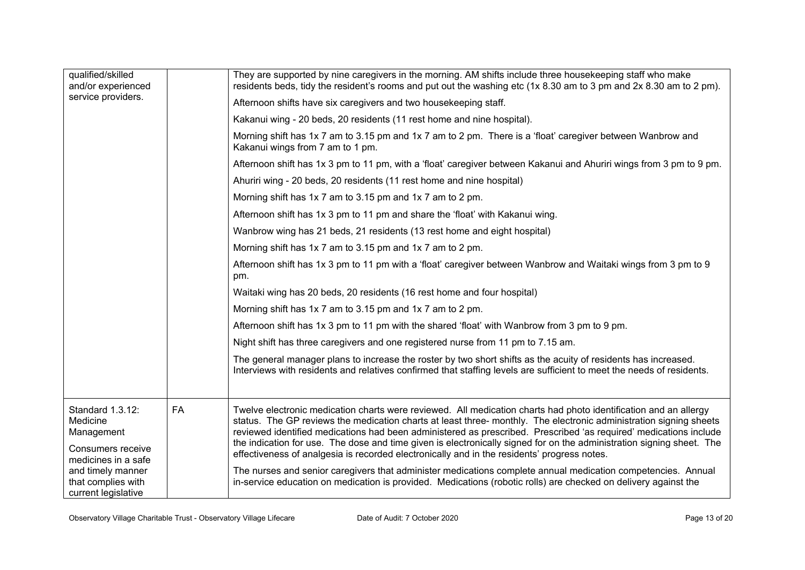| qualified/skilled<br>and/or experienced<br>service providers.                                                                                            |           | They are supported by nine caregivers in the morning. AM shifts include three housekeeping staff who make<br>residents beds, tidy the resident's rooms and put out the washing etc (1x 8.30 am to 3 pm and 2x 8.30 am to 2 pm).<br>Afternoon shifts have six caregivers and two housekeeping staff.<br>Kakanui wing - 20 beds, 20 residents (11 rest home and nine hospital).<br>Morning shift has 1x 7 am to 3.15 pm and 1x 7 am to 2 pm. There is a 'float' caregiver between Wanbrow and<br>Kakanui wings from 7 am to 1 pm.<br>Afternoon shift has 1x 3 pm to 11 pm, with a 'float' caregiver between Kakanui and Ahuriri wings from 3 pm to 9 pm.<br>Ahuriri wing - 20 beds, 20 residents (11 rest home and nine hospital)<br>Morning shift has 1x 7 am to 3.15 pm and 1x 7 am to 2 pm.<br>Afternoon shift has 1x 3 pm to 11 pm and share the 'float' with Kakanui wing.<br>Wanbrow wing has 21 beds, 21 residents (13 rest home and eight hospital)<br>Morning shift has 1x 7 am to 3.15 pm and 1x 7 am to 2 pm.<br>Afternoon shift has 1x 3 pm to 11 pm with a 'float' caregiver between Wanbrow and Waitaki wings from 3 pm to 9<br>pm.<br>Waitaki wing has 20 beds, 20 residents (16 rest home and four hospital)<br>Morning shift has 1x 7 am to 3.15 pm and 1x 7 am to 2 pm.<br>Afternoon shift has 1x 3 pm to 11 pm with the shared 'float' with Wanbrow from 3 pm to 9 pm.<br>Night shift has three caregivers and one registered nurse from 11 pm to 7.15 am.<br>The general manager plans to increase the roster by two short shifts as the acuity of residents has increased.<br>Interviews with residents and relatives confirmed that staffing levels are sufficient to meet the needs of residents. |
|----------------------------------------------------------------------------------------------------------------------------------------------------------|-----------|------------------------------------------------------------------------------------------------------------------------------------------------------------------------------------------------------------------------------------------------------------------------------------------------------------------------------------------------------------------------------------------------------------------------------------------------------------------------------------------------------------------------------------------------------------------------------------------------------------------------------------------------------------------------------------------------------------------------------------------------------------------------------------------------------------------------------------------------------------------------------------------------------------------------------------------------------------------------------------------------------------------------------------------------------------------------------------------------------------------------------------------------------------------------------------------------------------------------------------------------------------------------------------------------------------------------------------------------------------------------------------------------------------------------------------------------------------------------------------------------------------------------------------------------------------------------------------------------------------------------------------------------------------------------------------------------------------------------|
| Standard 1.3.12:<br>Medicine<br>Management<br>Consumers receive<br>medicines in a safe<br>and timely manner<br>that complies with<br>current legislative | <b>FA</b> | Twelve electronic medication charts were reviewed. All medication charts had photo identification and an allergy<br>status. The GP reviews the medication charts at least three- monthly. The electronic administration signing sheets<br>reviewed identified medications had been administered as prescribed. Prescribed 'as required' medications include<br>the indication for use. The dose and time given is electronically signed for on the administration signing sheet. The<br>effectiveness of analgesia is recorded electronically and in the residents' progress notes.<br>The nurses and senior caregivers that administer medications complete annual medication competencies. Annual<br>in-service education on medication is provided. Medications (robotic rolls) are checked on delivery against the                                                                                                                                                                                                                                                                                                                                                                                                                                                                                                                                                                                                                                                                                                                                                                                                                                                                                                 |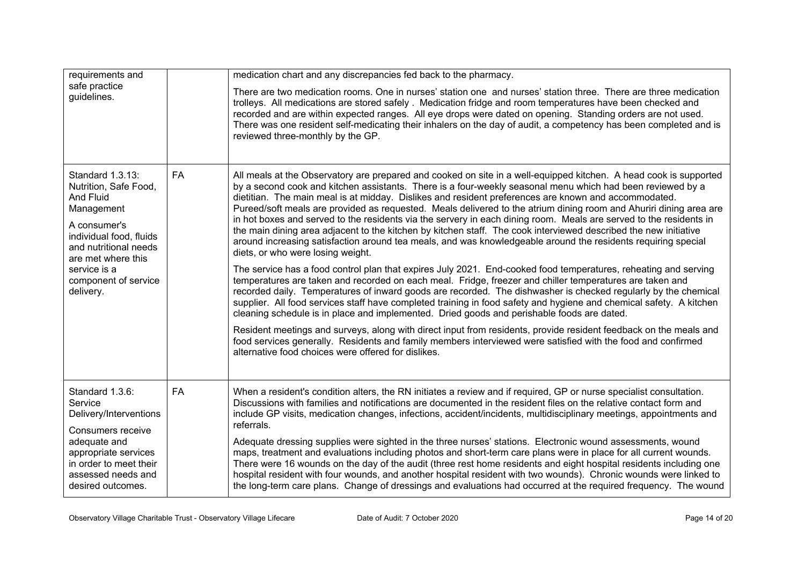| requirements and                                                                                                                                                                                                    |           | medication chart and any discrepancies fed back to the pharmacy.                                                                                                                                                                                                                                                                                                                                                                                                                                                                                                                                                                                                                                                                                                                                                                                                                                                                                                                                                                                                                                                                                                                                                                                                                                                                                                                                                                                                                                                                                                                                                                                                                                                                |
|---------------------------------------------------------------------------------------------------------------------------------------------------------------------------------------------------------------------|-----------|---------------------------------------------------------------------------------------------------------------------------------------------------------------------------------------------------------------------------------------------------------------------------------------------------------------------------------------------------------------------------------------------------------------------------------------------------------------------------------------------------------------------------------------------------------------------------------------------------------------------------------------------------------------------------------------------------------------------------------------------------------------------------------------------------------------------------------------------------------------------------------------------------------------------------------------------------------------------------------------------------------------------------------------------------------------------------------------------------------------------------------------------------------------------------------------------------------------------------------------------------------------------------------------------------------------------------------------------------------------------------------------------------------------------------------------------------------------------------------------------------------------------------------------------------------------------------------------------------------------------------------------------------------------------------------------------------------------------------------|
| safe practice<br>guidelines.                                                                                                                                                                                        |           | There are two medication rooms. One in nurses' station one and nurses' station three. There are three medication<br>trolleys. All medications are stored safely . Medication fridge and room temperatures have been checked and<br>recorded and are within expected ranges. All eye drops were dated on opening. Standing orders are not used.<br>There was one resident self-medicating their inhalers on the day of audit, a competency has been completed and is<br>reviewed three-monthly by the GP.                                                                                                                                                                                                                                                                                                                                                                                                                                                                                                                                                                                                                                                                                                                                                                                                                                                                                                                                                                                                                                                                                                                                                                                                                        |
| Standard 1.3.13:<br>Nutrition, Safe Food,<br>And Fluid<br>Management<br>A consumer's<br>individual food, fluids<br>and nutritional needs<br>are met where this<br>service is a<br>component of service<br>delivery. | <b>FA</b> | All meals at the Observatory are prepared and cooked on site in a well-equipped kitchen. A head cook is supported<br>by a second cook and kitchen assistants. There is a four-weekly seasonal menu which had been reviewed by a<br>dietitian. The main meal is at midday. Dislikes and resident preferences are known and accommodated.<br>Pureed/soft meals are provided as requested. Meals delivered to the atrium dining room and Ahuriri dining area are<br>in hot boxes and served to the residents via the servery in each dining room. Meals are served to the residents in<br>the main dining area adjacent to the kitchen by kitchen staff. The cook interviewed described the new initiative<br>around increasing satisfaction around tea meals, and was knowledgeable around the residents requiring special<br>diets, or who were losing weight.<br>The service has a food control plan that expires July 2021. End-cooked food temperatures, reheating and serving<br>temperatures are taken and recorded on each meal. Fridge, freezer and chiller temperatures are taken and<br>recorded daily. Temperatures of inward goods are recorded. The dishwasher is checked regularly by the chemical<br>supplier. All food services staff have completed training in food safety and hygiene and chemical safety. A kitchen<br>cleaning schedule is in place and implemented. Dried goods and perishable foods are dated.<br>Resident meetings and surveys, along with direct input from residents, provide resident feedback on the meals and<br>food services generally. Residents and family members interviewed were satisfied with the food and confirmed<br>alternative food choices were offered for dislikes. |
| Standard 1.3.6:<br>Service<br>Delivery/Interventions<br>Consumers receive<br>adequate and<br>appropriate services<br>in order to meet their<br>assessed needs and<br>desired outcomes.                              | <b>FA</b> | When a resident's condition alters, the RN initiates a review and if required, GP or nurse specialist consultation.<br>Discussions with families and notifications are documented in the resident files on the relative contact form and<br>include GP visits, medication changes, infections, accident/incidents, multidisciplinary meetings, appointments and<br>referrals.<br>Adequate dressing supplies were sighted in the three nurses' stations. Electronic wound assessments, wound<br>maps, treatment and evaluations including photos and short-term care plans were in place for all current wounds.<br>There were 16 wounds on the day of the audit (three rest home residents and eight hospital residents including one<br>hospital resident with four wounds, and another hospital resident with two wounds). Chronic wounds were linked to<br>the long-term care plans. Change of dressings and evaluations had occurred at the required frequency. The wound                                                                                                                                                                                                                                                                                                                                                                                                                                                                                                                                                                                                                                                                                                                                                   |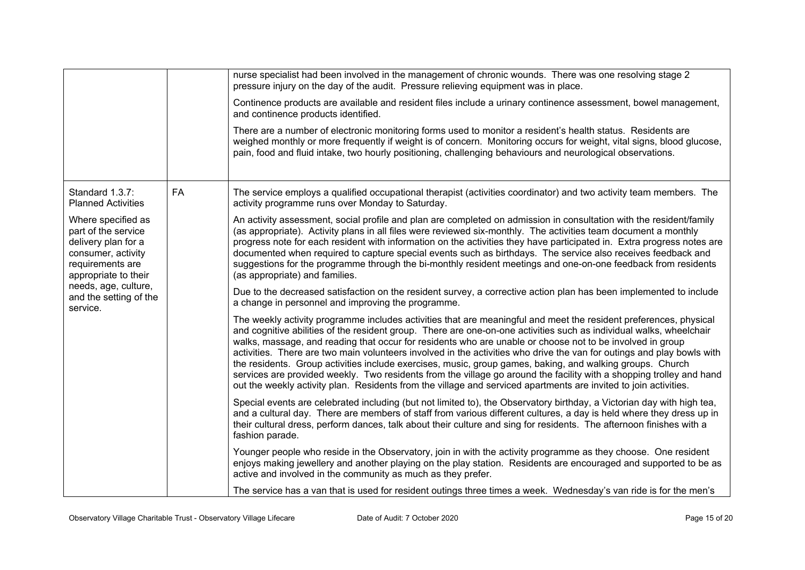|                                                                                                                                                                                                  |           | nurse specialist had been involved in the management of chronic wounds. There was one resolving stage 2<br>pressure injury on the day of the audit. Pressure relieving equipment was in place.                                                                                                                                                                                                                                                                                                                                                                                                                                                                                                                                                                                                                                           |
|--------------------------------------------------------------------------------------------------------------------------------------------------------------------------------------------------|-----------|------------------------------------------------------------------------------------------------------------------------------------------------------------------------------------------------------------------------------------------------------------------------------------------------------------------------------------------------------------------------------------------------------------------------------------------------------------------------------------------------------------------------------------------------------------------------------------------------------------------------------------------------------------------------------------------------------------------------------------------------------------------------------------------------------------------------------------------|
|                                                                                                                                                                                                  |           | Continence products are available and resident files include a urinary continence assessment, bowel management,<br>and continence products identified.                                                                                                                                                                                                                                                                                                                                                                                                                                                                                                                                                                                                                                                                                   |
|                                                                                                                                                                                                  |           | There are a number of electronic monitoring forms used to monitor a resident's health status. Residents are<br>weighed monthly or more frequently if weight is of concern. Monitoring occurs for weight, vital signs, blood glucose,<br>pain, food and fluid intake, two hourly positioning, challenging behaviours and neurological observations.                                                                                                                                                                                                                                                                                                                                                                                                                                                                                       |
| Standard 1.3.7:<br><b>Planned Activities</b>                                                                                                                                                     | <b>FA</b> | The service employs a qualified occupational therapist (activities coordinator) and two activity team members. The<br>activity programme runs over Monday to Saturday.                                                                                                                                                                                                                                                                                                                                                                                                                                                                                                                                                                                                                                                                   |
| Where specified as<br>part of the service<br>delivery plan for a<br>consumer, activity<br>requirements are<br>appropriate to their<br>needs, age, culture,<br>and the setting of the<br>service. |           | An activity assessment, social profile and plan are completed on admission in consultation with the resident/family<br>(as appropriate). Activity plans in all files were reviewed six-monthly. The activities team document a monthly<br>progress note for each resident with information on the activities they have participated in. Extra progress notes are<br>documented when required to capture special events such as birthdays. The service also receives feedback and<br>suggestions for the programme through the bi-monthly resident meetings and one-on-one feedback from residents<br>(as appropriate) and families.                                                                                                                                                                                                      |
|                                                                                                                                                                                                  |           | Due to the decreased satisfaction on the resident survey, a corrective action plan has been implemented to include<br>a change in personnel and improving the programme.                                                                                                                                                                                                                                                                                                                                                                                                                                                                                                                                                                                                                                                                 |
|                                                                                                                                                                                                  |           | The weekly activity programme includes activities that are meaningful and meet the resident preferences, physical<br>and cognitive abilities of the resident group. There are one-on-one activities such as individual walks, wheelchair<br>walks, massage, and reading that occur for residents who are unable or choose not to be involved in group<br>activities. There are two main volunteers involved in the activities who drive the van for outings and play bowls with<br>the residents. Group activities include exercises, music, group games, baking, and walking groups. Church<br>services are provided weekly. Two residents from the village go around the facility with a shopping trolley and hand<br>out the weekly activity plan. Residents from the village and serviced apartments are invited to join activities. |
|                                                                                                                                                                                                  |           | Special events are celebrated including (but not limited to), the Observatory birthday, a Victorian day with high tea,<br>and a cultural day. There are members of staff from various different cultures, a day is held where they dress up in<br>their cultural dress, perform dances, talk about their culture and sing for residents. The afternoon finishes with a<br>fashion parade.                                                                                                                                                                                                                                                                                                                                                                                                                                                |
|                                                                                                                                                                                                  |           | Younger people who reside in the Observatory, join in with the activity programme as they choose. One resident<br>enjoys making jewellery and another playing on the play station. Residents are encouraged and supported to be as<br>active and involved in the community as much as they prefer.                                                                                                                                                                                                                                                                                                                                                                                                                                                                                                                                       |
|                                                                                                                                                                                                  |           | The service has a van that is used for resident outings three times a week. Wednesday's van ride is for the men's                                                                                                                                                                                                                                                                                                                                                                                                                                                                                                                                                                                                                                                                                                                        |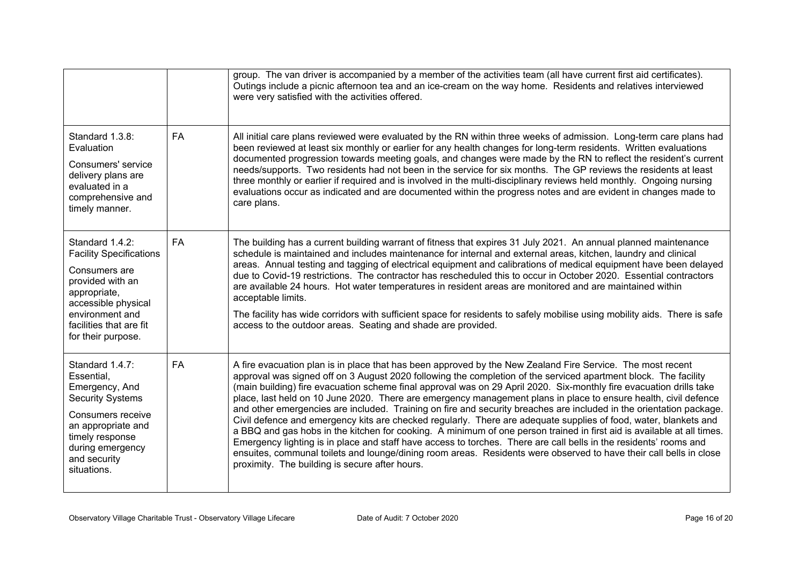|                                                                                                                                                                                                   |           | group. The van driver is accompanied by a member of the activities team (all have current first aid certificates).<br>Outings include a picnic afternoon tea and an ice-cream on the way home. Residents and relatives interviewed<br>were very satisfied with the activities offered.                                                                                                                                                                                                                                                                                                                                                                                                                                                                                                                                                                                                                                                                                                                                                                                                                                                    |
|---------------------------------------------------------------------------------------------------------------------------------------------------------------------------------------------------|-----------|-------------------------------------------------------------------------------------------------------------------------------------------------------------------------------------------------------------------------------------------------------------------------------------------------------------------------------------------------------------------------------------------------------------------------------------------------------------------------------------------------------------------------------------------------------------------------------------------------------------------------------------------------------------------------------------------------------------------------------------------------------------------------------------------------------------------------------------------------------------------------------------------------------------------------------------------------------------------------------------------------------------------------------------------------------------------------------------------------------------------------------------------|
| Standard 1.3.8:<br>Evaluation<br>Consumers' service<br>delivery plans are<br>evaluated in a<br>comprehensive and<br>timely manner.                                                                | <b>FA</b> | All initial care plans reviewed were evaluated by the RN within three weeks of admission. Long-term care plans had<br>been reviewed at least six monthly or earlier for any health changes for long-term residents. Written evaluations<br>documented progression towards meeting goals, and changes were made by the RN to reflect the resident's current<br>needs/supports. Two residents had not been in the service for six months. The GP reviews the residents at least<br>three monthly or earlier if required and is involved in the multi-disciplinary reviews held monthly. Ongoing nursing<br>evaluations occur as indicated and are documented within the progress notes and are evident in changes made to<br>care plans.                                                                                                                                                                                                                                                                                                                                                                                                    |
| Standard 1.4.2:<br><b>Facility Specifications</b><br>Consumers are<br>provided with an<br>appropriate,<br>accessible physical<br>environment and<br>facilities that are fit<br>for their purpose. | <b>FA</b> | The building has a current building warrant of fitness that expires 31 July 2021. An annual planned maintenance<br>schedule is maintained and includes maintenance for internal and external areas, kitchen, laundry and clinical<br>areas. Annual testing and tagging of electrical equipment and calibrations of medical equipment have been delayed<br>due to Covid-19 restrictions. The contractor has rescheduled this to occur in October 2020. Essential contractors<br>are available 24 hours. Hot water temperatures in resident areas are monitored and are maintained within<br>acceptable limits.<br>The facility has wide corridors with sufficient space for residents to safely mobilise using mobility aids. There is safe<br>access to the outdoor areas. Seating and shade are provided.                                                                                                                                                                                                                                                                                                                                |
| Standard 1.4.7:<br>Essential,<br>Emergency, And<br><b>Security Systems</b><br>Consumers receive<br>an appropriate and<br>timely response<br>during emergency<br>and security<br>situations.       | <b>FA</b> | A fire evacuation plan is in place that has been approved by the New Zealand Fire Service. The most recent<br>approval was signed off on 3 August 2020 following the completion of the serviced apartment block. The facility<br>(main building) fire evacuation scheme final approval was on 29 April 2020. Six-monthly fire evacuation drills take<br>place, last held on 10 June 2020. There are emergency management plans in place to ensure health, civil defence<br>and other emergencies are included. Training on fire and security breaches are included in the orientation package.<br>Civil defence and emergency kits are checked regularly. There are adequate supplies of food, water, blankets and<br>a BBQ and gas hobs in the kitchen for cooking. A minimum of one person trained in first aid is available at all times.<br>Emergency lighting is in place and staff have access to torches. There are call bells in the residents' rooms and<br>ensuites, communal toilets and lounge/dining room areas. Residents were observed to have their call bells in close<br>proximity. The building is secure after hours. |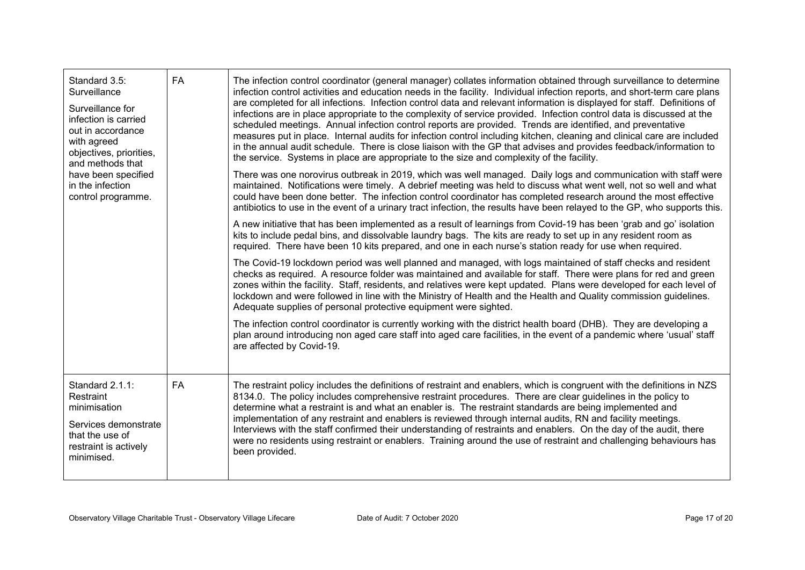| Standard 3.5:<br>Surveillance<br>Surveillance for<br>infection is carried<br>out in accordance<br>with agreed<br>objectives, priorities,<br>and methods that<br>have been specified<br>in the infection<br>control programme. | <b>FA</b> | The infection control coordinator (general manager) collates information obtained through surveillance to determine<br>infection control activities and education needs in the facility. Individual infection reports, and short-term care plans<br>are completed for all infections. Infection control data and relevant information is displayed for staff. Definitions of<br>infections are in place appropriate to the complexity of service provided. Infection control data is discussed at the<br>scheduled meetings. Annual infection control reports are provided. Trends are identified, and preventative<br>measures put in place. Internal audits for infection control including kitchen, cleaning and clinical care are included<br>in the annual audit schedule. There is close liaison with the GP that advises and provides feedback/information to<br>the service. Systems in place are appropriate to the size and complexity of the facility.<br>There was one norovirus outbreak in 2019, which was well managed. Daily logs and communication with staff were<br>maintained. Notifications were timely. A debrief meeting was held to discuss what went well, not so well and what<br>could have been done better. The infection control coordinator has completed research around the most effective<br>antibiotics to use in the event of a urinary tract infection, the results have been relayed to the GP, who supports this.<br>A new initiative that has been implemented as a result of learnings from Covid-19 has been 'grab and go' isolation<br>kits to include pedal bins, and dissolvable laundry bags. The kits are ready to set up in any resident room as<br>required. There have been 10 kits prepared, and one in each nurse's station ready for use when required.<br>The Covid-19 lockdown period was well planned and managed, with logs maintained of staff checks and resident<br>checks as required. A resource folder was maintained and available for staff. There were plans for red and green<br>zones within the facility. Staff, residents, and relatives were kept updated. Plans were developed for each level of<br>lockdown and were followed in line with the Ministry of Health and the Health and Quality commission guidelines.<br>Adequate supplies of personal protective equipment were sighted.<br>The infection control coordinator is currently working with the district health board (DHB). They are developing a<br>plan around introducing non aged care staff into aged care facilities, in the event of a pandemic where 'usual' staff<br>are affected by Covid-19. |
|-------------------------------------------------------------------------------------------------------------------------------------------------------------------------------------------------------------------------------|-----------|----------------------------------------------------------------------------------------------------------------------------------------------------------------------------------------------------------------------------------------------------------------------------------------------------------------------------------------------------------------------------------------------------------------------------------------------------------------------------------------------------------------------------------------------------------------------------------------------------------------------------------------------------------------------------------------------------------------------------------------------------------------------------------------------------------------------------------------------------------------------------------------------------------------------------------------------------------------------------------------------------------------------------------------------------------------------------------------------------------------------------------------------------------------------------------------------------------------------------------------------------------------------------------------------------------------------------------------------------------------------------------------------------------------------------------------------------------------------------------------------------------------------------------------------------------------------------------------------------------------------------------------------------------------------------------------------------------------------------------------------------------------------------------------------------------------------------------------------------------------------------------------------------------------------------------------------------------------------------------------------------------------------------------------------------------------------------------------------------------------------------------------------------------------------------------------------------------------------------------------------------------------------------------------------------------------------------------------------------------------------------------------------------------------------------------------------------------------------------------------------------------------------------------------------------------------------------------------------------------------------------------------------|
| Standard 2.1.1:<br>Restraint<br>minimisation<br>Services demonstrate<br>that the use of<br>restraint is actively<br>minimised.                                                                                                | <b>FA</b> | The restraint policy includes the definitions of restraint and enablers, which is congruent with the definitions in NZS<br>8134.0. The policy includes comprehensive restraint procedures. There are clear guidelines in the policy to<br>determine what a restraint is and what an enabler is. The restraint standards are being implemented and<br>implementation of any restraint and enablers is reviewed through internal audits, RN and facility meetings.<br>Interviews with the staff confirmed their understanding of restraints and enablers. On the day of the audit, there<br>were no residents using restraint or enablers. Training around the use of restraint and challenging behaviours has<br>been provided.                                                                                                                                                                                                                                                                                                                                                                                                                                                                                                                                                                                                                                                                                                                                                                                                                                                                                                                                                                                                                                                                                                                                                                                                                                                                                                                                                                                                                                                                                                                                                                                                                                                                                                                                                                                                                                                                                                               |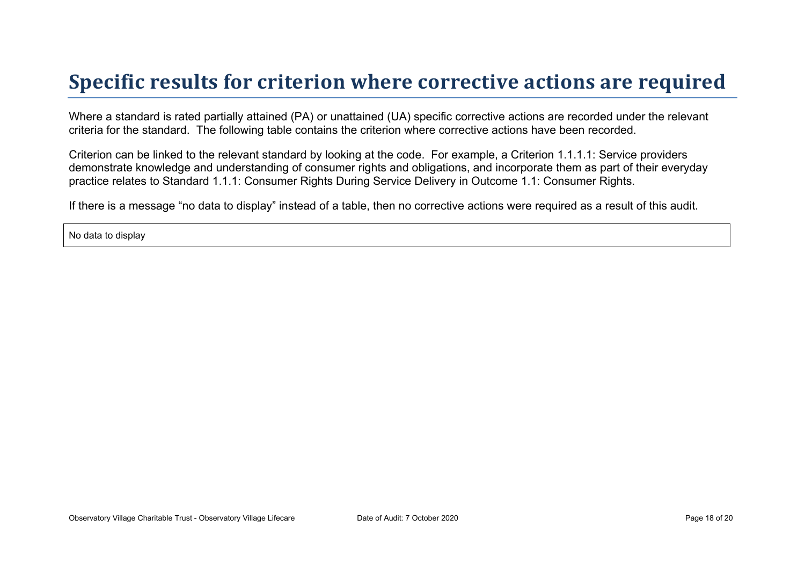## **Specific results for criterion where corrective actions are required**

Where a standard is rated partially attained (PA) or unattained (UA) specific corrective actions are recorded under the relevant criteria for the standard. The following table contains the criterion where corrective actions have been recorded.

Criterion can be linked to the relevant standard by looking at the code. For example, a Criterion 1.1.1.1: Service providers demonstrate knowledge and understanding of consumer rights and obligations, and incorporate them as part of their everyday practice relates to Standard 1.1.1: Consumer Rights During Service Delivery in Outcome 1.1: Consumer Rights.

If there is a message "no data to display" instead of a table, then no corrective actions were required as a result of this audit.

No data to display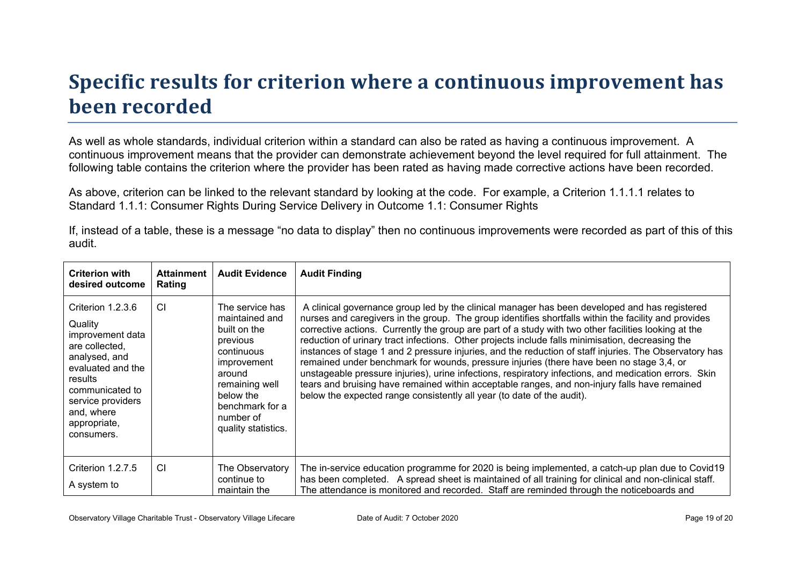# **Specific results for criterion where a continuous improvement has been recorded**

As well as whole standards, individual criterion within a standard can also be rated as having a continuous improvement. A continuous improvement means that the provider can demonstrate achievement beyond the level required for full attainment. The following table contains the criterion where the provider has been rated as having made corrective actions have been recorded.

As above, criterion can be linked to the relevant standard by looking at the code. For example, a Criterion 1.1.1.1 relates to Standard 1.1.1: Consumer Rights During Service Delivery in Outcome 1.1: Consumer Rights

If, instead of a table, these is a message "no data to display" then no continuous improvements were recorded as part of this of this audit.

| <b>Criterion with</b><br>desired outcome                                                                                                                                                                | <b>Attainment</b><br>Rating | <b>Audit Evidence</b>                                                                                                                                                                      | <b>Audit Finding</b>                                                                                                                                                                                                                                                                                                                                                                                                                                                                                                                                                                                                                                                                                                                                                                                                                                                                                        |
|---------------------------------------------------------------------------------------------------------------------------------------------------------------------------------------------------------|-----------------------------|--------------------------------------------------------------------------------------------------------------------------------------------------------------------------------------------|-------------------------------------------------------------------------------------------------------------------------------------------------------------------------------------------------------------------------------------------------------------------------------------------------------------------------------------------------------------------------------------------------------------------------------------------------------------------------------------------------------------------------------------------------------------------------------------------------------------------------------------------------------------------------------------------------------------------------------------------------------------------------------------------------------------------------------------------------------------------------------------------------------------|
| Criterion 1.2.3.6<br>Quality<br>improvement data<br>are collected.<br>analysed, and<br>evaluated and the<br>results<br>communicated to<br>service providers<br>and, where<br>appropriate,<br>consumers. | <b>CI</b>                   | The service has<br>maintained and<br>built on the<br>previous<br>continuous<br>improvement<br>around<br>remaining well<br>below the<br>benchmark for a<br>number of<br>quality statistics. | A clinical governance group led by the clinical manager has been developed and has registered<br>nurses and caregivers in the group. The group identifies shortfalls within the facility and provides<br>corrective actions. Currently the group are part of a study with two other facilities looking at the<br>reduction of urinary tract infections. Other projects include falls minimisation, decreasing the<br>instances of stage 1 and 2 pressure injuries, and the reduction of staff injuries. The Observatory has<br>remained under benchmark for wounds, pressure injuries (there have been no stage 3,4, or<br>unstageable pressure injuries), urine infections, respiratory infections, and medication errors. Skin<br>tears and bruising have remained within acceptable ranges, and non-injury falls have remained<br>below the expected range consistently all year (to date of the audit). |
| Criterion 1.2.7.5<br>A system to                                                                                                                                                                        | <b>CI</b>                   | The Observatory<br>continue to<br>maintain the                                                                                                                                             | The in-service education programme for 2020 is being implemented, a catch-up plan due to Covid19<br>has been completed. A spread sheet is maintained of all training for clinical and non-clinical staff.<br>The attendance is monitored and recorded. Staff are reminded through the noticeboards and                                                                                                                                                                                                                                                                                                                                                                                                                                                                                                                                                                                                      |